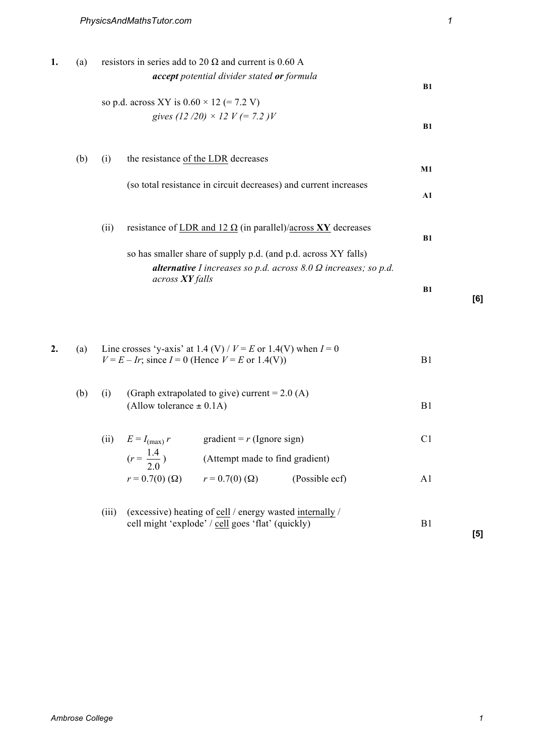| 1. | (a) | resistors in series add to 20 $\Omega$ and current is 0.60 A<br>accept potential divider stated or formula<br>so p.d. across XY is $0.60 \times 12 (= 7.2 V)$<br>gives $(12/20) \times 12 V (= 7.2) V$                                            |                     |  |
|----|-----|---------------------------------------------------------------------------------------------------------------------------------------------------------------------------------------------------------------------------------------------------|---------------------|--|
|    | (b) | the resistance of the LDR decreases<br>(i)<br>(so total resistance in circuit decreases) and current increases                                                                                                                                    | M1<br>$\mathbf{A1}$ |  |
|    |     | resistance of LDR and 12 $\Omega$ (in parallel)/across XY decreases<br>(ii)<br>so has smaller share of supply p.d. (and p.d. across XY falls)<br><b>alternative</b> I increases so p.d. across $8.0 \Omega$ increases; so p.d.<br>across XY falls | B1<br>B1            |  |
| 2. | (a) | Line crosses 'y-axis' at 1.4 (V) / $V = E$ or 1.4(V) when $I = 0$                                                                                                                                                                                 |                     |  |

*V* = *E* – *Ir*; since *I* = 0 (Hence *V* = *E* or 1.4(V)) B1

(b) (i) (Graph extrapolated to give) current =  $2.0$  (A) (Allow tolerance  $\pm$  0.1A) B1

| (ii) $E = I_{(\text{max})} r$ | $gradient = r$ (Ignore sign)    |                |    |
|-------------------------------|---------------------------------|----------------|----|
| $(r = \frac{1.4}{2.0})$       | (Attempt made to find gradient) |                |    |
| $r = 0.7(0)$ ( $\Omega$ )     | $r = 0.7(0)$ ( $\Omega$ )       | (Possible ecf) | Αl |

(iii) (excessive) heating of cell / energy wasted internally / cell might 'explode' / cell goes 'flat' (quickly)  $B1$ 

**[5]**

**[6]**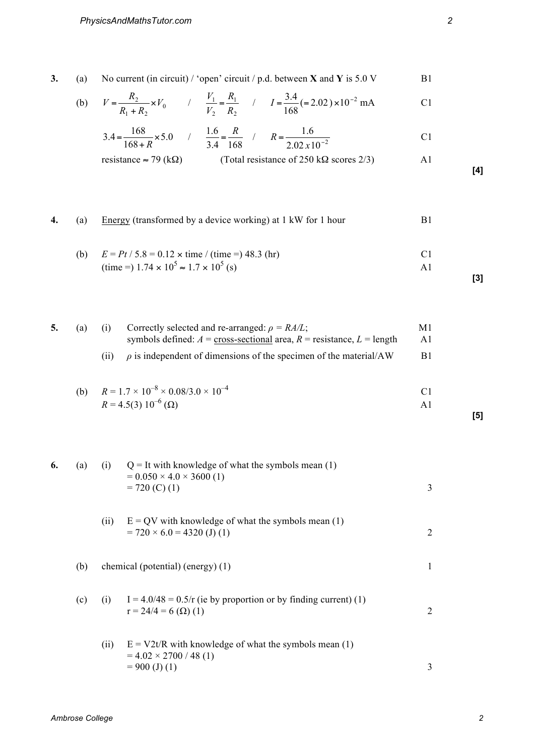**3.** (a) No current (in circuit) / 'open' circuit / p.d. between **X** and **Y** is 5.0 V B1

(b) 
$$
V = \frac{R_2}{R_1 + R_2} \times V_0
$$
  $\qquad / \qquad \frac{V_1}{V_2} = \frac{R_1}{R_2}$   $\qquad / \qquad I = \frac{3.4}{168} (= 2.02) \times 10^{-2} \text{ mA}$ 

$$
3.4 = \frac{168}{168 + R} \times 5.0 \qquad / \qquad \frac{1.6}{3.4} = \frac{R}{168} \qquad / \qquad R = \frac{1.6}{2.02 \times 10^{-2}} \tag{C1}
$$

resistance  $\approx$  79 (kΩ) (Total resistance of 250 kΩ scores 2/3) A1

\n- 4. (a) Energy (transformed by a device working) at 1 kW for 1 hour
\n- (b) 
$$
E = Pt / 5.8 = 0.12 \times \text{time} / (\text{time} = 948.3 \text{ (hr)}
$$
\n- (time =)  $1.74 \times 10^5 \approx 1.7 \times 10^5 \text{ (s)}$
\n- (1) A1
\n

|  | (a) | Correctly selected and re-arranged: $\rho = RA/L$ ;                                          | M1  |
|--|-----|----------------------------------------------------------------------------------------------|-----|
|  |     | symbols defined: $A = \text{cross-sectional area}, R = \text{resistance}, L = \text{length}$ | A l |
|  |     | $\rho$ is independent of dimensions of the specimen of the material/AW                       | B1  |

(b) 
$$
R = 1.7 \times 10^{-8} \times 0.08/3.0 \times 10^{-4}
$$
  
\n $R = 4.5(3) 10^{-6} (\Omega)$  A1

**[5]**

| 6. | (a) | (i)  | $Q =$ It with knowledge of what the symbols mean (1)<br>$= 0.050 \times 4.0 \times 3600$ (1)<br>$= 720 (C) (1)$ | 3 |
|----|-----|------|-----------------------------------------------------------------------------------------------------------------|---|
|    |     | (ii) | $E = QV$ with knowledge of what the symbols mean (1)<br>$= 720 \times 6.0 = 4320$ (J) (1)                       | 2 |
|    | (b) |      | chemical (potential) (energy) (1)                                                                               |   |
|    | (c) |      | (i) $I = 4.0/48 = 0.5/r$ (ie by proportion or by finding current) (1)<br>$r = 24/4 = 6$ ( $\Omega$ ) (1)        | 2 |

(ii)  $E = V2t/R$  with knowledge of what the symbols mean (1)  $= 4.02 \times 2700 / 48 (1)$  $= 900$  (J) (1) 3 **[4]**

**[3]**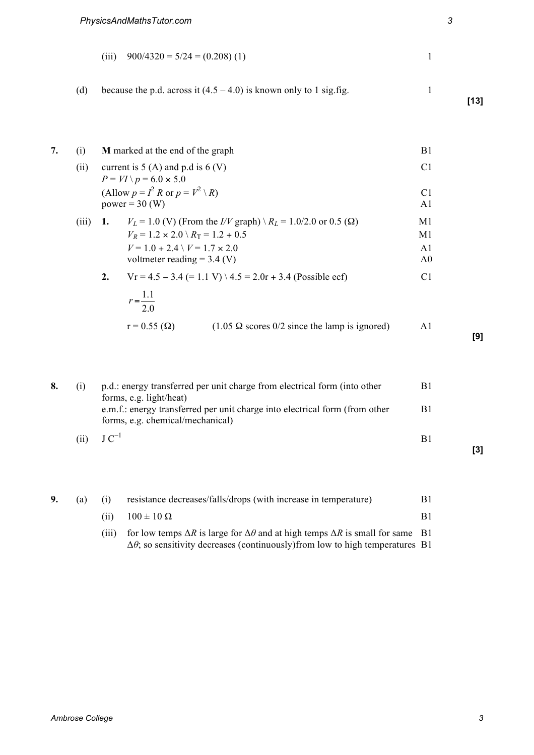(iii)  $900/4320 = 5/24 = (0.208) (1)$  1

(d) because the p.d. across it  $(4.5 - 4.0)$  is known only to 1 sig.fig. 1

## **7.** (i) **M** marked at the end of the graph B1 (ii) current is  $5(A)$  and p.d is  $6(V)$  C1  $P = VI \ (p = 6.0 \times 5.0)$ (Allow  $p = I^2 R$  or  $p = V^2 \setminus R$ ) C1  $power = 30 (W)$  A1 (iii) **1.**  $V_L = 1.0$  (V) (From the *I/V* graph)  $R_L = 1.0/2.0$  or 0.5 ( $\Omega$ ) M1  $V_R = 1.2 \times 2.0 \times R_T = 1.2 + 0.5$  M1  $V = 1.0 + 2.4 \vee V = 1.7 \times 2.0$  A1 voltmeter reading  $= 3.4$  (V) A0 **2.**  $V = 4.5 - 3.4 (= 1.1 V) \ (4.5 = 2.0r + 3.4) (Possible ecf)$  C1 2.0  $r = \frac{1.1}{2.0}$  $r = 0.55$  ( $\Omega$ ) (1.05  $\Omega$  scores 0/2 since the lamp is ignored) A1

**[9]**

**[3]**

|     | p.d.: energy transferred per unit charge from electrical form (into other                                                                  |    |
|-----|--------------------------------------------------------------------------------------------------------------------------------------------|----|
|     | forms, e.g. light/heat)<br>e.m.f.: energy transferred per unit charge into electrical form (from other<br>forms, e.g. chemical/mechanical) | B1 |
| (i) | $J C^{-1}$                                                                                                                                 |    |

**9.** (a) (i) resistance decreases/falls/drops (with increase in temperature) B1 (ii)  $100 \pm 10 \Omega$  B1 (iii) for low temps  $\Delta R$  is large for  $\Delta \theta$  and at high temps  $\Delta R$  is small for same B1  $\Delta\theta$ ; so sensitivity decreases (continuously)from low to high temperatures B1 **[13]**